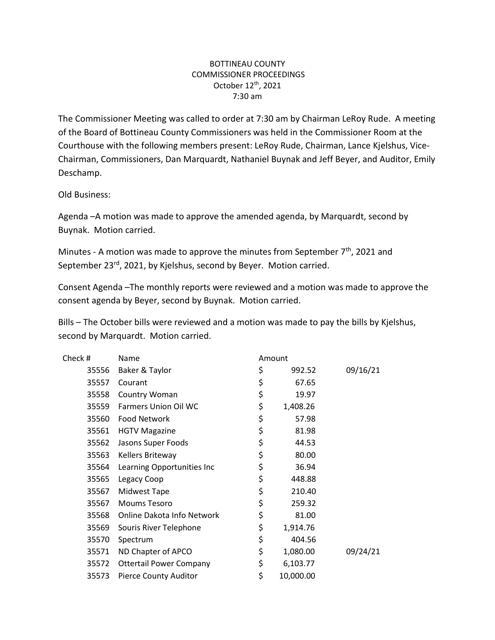## BOTTINEAU COUNTY COMMISSIONER PROCEEDINGS October 12th, 2021 7:30 am

The Commissioner Meeting was called to order at 7:30 am by Chairman LeRoy Rude. A meeting of the Board of Bottineau County Commissioners was held in the Commissioner Room at the Courthouse with the following members present: LeRoy Rude, Chairman, Lance Kjelshus, Vice-Chairman, Commissioners, Dan Marquardt, Nathaniel Buynak and Jeff Beyer, and Auditor, Emily Deschamp.

Old Business:

Agenda –A motion was made to approve the amended agenda, by Marquardt, second by Buynak. Motion carried.

Minutes - A motion was made to approve the minutes from September 7<sup>th</sup>, 2021 and September 23<sup>rd</sup>, 2021, by Kjelshus, second by Beyer. Motion carried.

Consent Agenda –The monthly reports were reviewed and a motion was made to approve the consent agenda by Beyer, second by Buynak. Motion carried.

Bills – The October bills were reviewed and a motion was made to pay the bills by Kjelshus, second by Marquardt. Motion carried.

| Check # | Name                           | Amount |           |          |
|---------|--------------------------------|--------|-----------|----------|
| 35556   | Baker & Taylor                 | \$     | 992.52    | 09/16/21 |
| 35557   | Courant                        | \$     | 67.65     |          |
| 35558   | Country Woman                  | \$     | 19.97     |          |
| 35559   | <b>Farmers Union Oil WC</b>    | \$     | 1,408.26  |          |
| 35560   | <b>Food Network</b>            | \$     | 57.98     |          |
| 35561   | <b>HGTV Magazine</b>           | \$     | 81.98     |          |
| 35562   | Jasons Super Foods             | \$     | 44.53     |          |
| 35563   | Kellers Briteway               | \$     | 80.00     |          |
| 35564   | Learning Opportunities Inc     | \$     | 36.94     |          |
| 35565   | Legacy Coop                    | \$     | 448.88    |          |
| 35567   | Midwest Tape                   | \$     | 210.40    |          |
| 35567   | <b>Moums Tesoro</b>            | \$     | 259.32    |          |
| 35568   | Online Dakota Info Network     | \$     | 81.00     |          |
| 35569   | Souris River Telephone         | \$     | 1,914.76  |          |
| 35570   | Spectrum                       | \$     | 404.56    |          |
| 35571   | ND Chapter of APCO             | \$     | 1,080.00  | 09/24/21 |
| 35572   | <b>Ottertail Power Company</b> | \$     | 6,103.77  |          |
| 35573   | <b>Pierce County Auditor</b>   | \$     | 10,000.00 |          |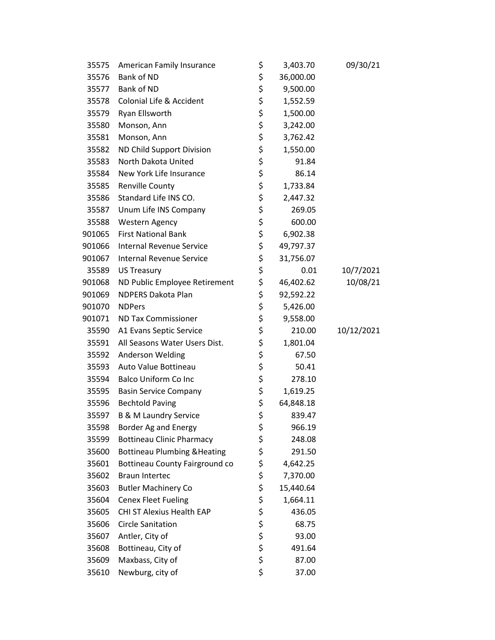| 35575  | American Family Insurance               | \$<br>3,403.70  | 09/30/21   |
|--------|-----------------------------------------|-----------------|------------|
| 35576  | Bank of ND                              | \$<br>36,000.00 |            |
| 35577  | Bank of ND                              | \$<br>9,500.00  |            |
| 35578  | Colonial Life & Accident                | \$<br>1,552.59  |            |
| 35579  | Ryan Ellsworth                          | \$<br>1,500.00  |            |
| 35580  | Monson, Ann                             | \$<br>3,242.00  |            |
| 35581  | Monson, Ann                             | \$<br>3,762.42  |            |
| 35582  | ND Child Support Division               | \$<br>1,550.00  |            |
| 35583  | North Dakota United                     | \$<br>91.84     |            |
| 35584  | New York Life Insurance                 | \$<br>86.14     |            |
| 35585  | <b>Renville County</b>                  | \$<br>1,733.84  |            |
| 35586  | Standard Life INS CO.                   | \$<br>2,447.32  |            |
| 35587  | Unum Life INS Company                   | \$<br>269.05    |            |
| 35588  | Western Agency                          | \$<br>600.00    |            |
| 901065 | <b>First National Bank</b>              | \$<br>6,902.38  |            |
| 901066 | <b>Internal Revenue Service</b>         | \$<br>49,797.37 |            |
| 901067 | <b>Internal Revenue Service</b>         | \$<br>31,756.07 |            |
| 35589  | <b>US Treasury</b>                      | \$<br>0.01      | 10/7/2021  |
| 901068 | ND Public Employee Retirement           | \$<br>46,402.62 | 10/08/21   |
| 901069 | <b>NDPERS Dakota Plan</b>               | \$<br>92,592.22 |            |
| 901070 | <b>NDPers</b>                           | \$<br>5,426.00  |            |
| 901071 | <b>ND Tax Commissioner</b>              | \$<br>9,558.00  |            |
| 35590  | A1 Evans Septic Service                 | \$<br>210.00    | 10/12/2021 |
| 35591  | All Seasons Water Users Dist.           | \$<br>1,801.04  |            |
| 35592  | Anderson Welding                        | \$<br>67.50     |            |
| 35593  | Auto Value Bottineau                    | \$<br>50.41     |            |
| 35594  | <b>Balco Uniform Co Inc</b>             | \$<br>278.10    |            |
| 35595  | <b>Basin Service Company</b>            | \$<br>1,619.25  |            |
| 35596  | <b>Bechtold Paving</b>                  | \$<br>64,848.18 |            |
| 35597  | <b>B &amp; M Laundry Service</b>        | \$<br>839.47    |            |
| 35598  | Border Ag and Energy                    | \$<br>966.19    |            |
| 35599  | <b>Bottineau Clinic Pharmacy</b>        | \$<br>248.08    |            |
| 35600  | <b>Bottineau Plumbing &amp; Heating</b> | \$<br>291.50    |            |
| 35601  | Bottineau County Fairground co          | \$<br>4,642.25  |            |
| 35602  | <b>Braun Intertec</b>                   | \$<br>7,370.00  |            |
| 35603  | <b>Butler Machinery Co</b>              | \$<br>15,440.64 |            |
| 35604  | <b>Cenex Fleet Fueling</b>              | \$<br>1,664.11  |            |
| 35605  | CHI ST Alexius Health EAP               | \$<br>436.05    |            |
| 35606  | <b>Circle Sanitation</b>                | \$<br>68.75     |            |
| 35607  | Antler, City of                         | \$<br>93.00     |            |
| 35608  | Bottineau, City of                      | \$<br>491.64    |            |
| 35609  | Maxbass, City of                        | \$<br>87.00     |            |
| 35610  | Newburg, city of                        | \$<br>37.00     |            |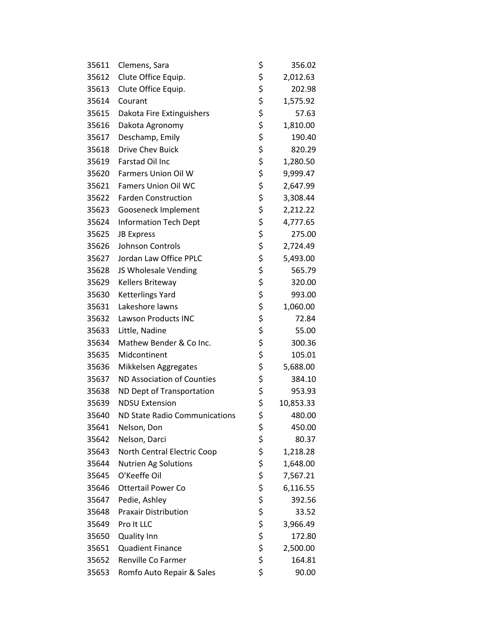| 35611 | Clemens, Sara                 | \$<br>356.02    |
|-------|-------------------------------|-----------------|
| 35612 | Clute Office Equip.           | \$<br>2,012.63  |
| 35613 | Clute Office Equip.           | \$<br>202.98    |
| 35614 | Courant                       | \$<br>1,575.92  |
| 35615 | Dakota Fire Extinguishers     | \$<br>57.63     |
| 35616 | Dakota Agronomy               | \$<br>1,810.00  |
| 35617 | Deschamp, Emily               | \$<br>190.40    |
| 35618 | <b>Drive Chev Buick</b>       | \$<br>820.29    |
| 35619 | <b>Farstad Oil Inc</b>        | \$<br>1,280.50  |
| 35620 | Farmers Union Oil W           | \$<br>9,999.47  |
| 35621 | <b>Famers Union Oil WC</b>    | \$<br>2,647.99  |
| 35622 | <b>Farden Construction</b>    | \$<br>3,308.44  |
| 35623 | Gooseneck Implement           | \$<br>2,212.22  |
| 35624 | <b>Information Tech Dept</b>  | \$<br>4,777.65  |
| 35625 | <b>JB Express</b>             | \$<br>275.00    |
| 35626 | Johnson Controls              | \$<br>2,724.49  |
| 35627 | Jordan Law Office PPLC        | \$<br>5,493.00  |
| 35628 | JS Wholesale Vending          | \$<br>565.79    |
| 35629 | Kellers Briteway              | \$<br>320.00    |
| 35630 | Ketterlings Yard              | \$<br>993.00    |
| 35631 | Lakeshore lawns               | \$<br>1,060.00  |
| 35632 | <b>Lawson Products INC</b>    | \$<br>72.84     |
| 35633 | Little, Nadine                | \$<br>55.00     |
| 35634 | Mathew Bender & Co Inc.       | \$<br>300.36    |
| 35635 | Midcontinent                  | \$<br>105.01    |
| 35636 | Mikkelsen Aggregates          | \$<br>5,688.00  |
| 35637 | ND Association of Counties    | \$<br>384.10    |
| 35638 | ND Dept of Transportation     | \$<br>953.93    |
| 35639 | <b>NDSU Extension</b>         | \$<br>10,853.33 |
| 35640 | ND State Radio Communications | \$<br>480.00    |
| 35641 | Nelson, Don                   | \$<br>450.00    |
| 35642 | Nelson, Darci                 | \$<br>80.37     |
| 35643 | North Central Electric Coop   | \$<br>1,218.28  |
| 35644 | <b>Nutrien Ag Solutions</b>   | \$<br>1,648.00  |
| 35645 | O'Keeffe Oil                  | \$<br>7,567.21  |
| 35646 | <b>Ottertail Power Co</b>     | \$<br>6,116.55  |
| 35647 | Pedie, Ashley                 | \$<br>392.56    |
| 35648 | <b>Praxair Distribution</b>   | \$<br>33.52     |
| 35649 | Pro It LLC                    | \$<br>3,966.49  |
| 35650 | <b>Quality Inn</b>            | \$<br>172.80    |
| 35651 | <b>Quadient Finance</b>       | \$<br>2,500.00  |
| 35652 | Renville Co Farmer            | \$<br>164.81    |
| 35653 | Romfo Auto Repair & Sales     | \$<br>90.00     |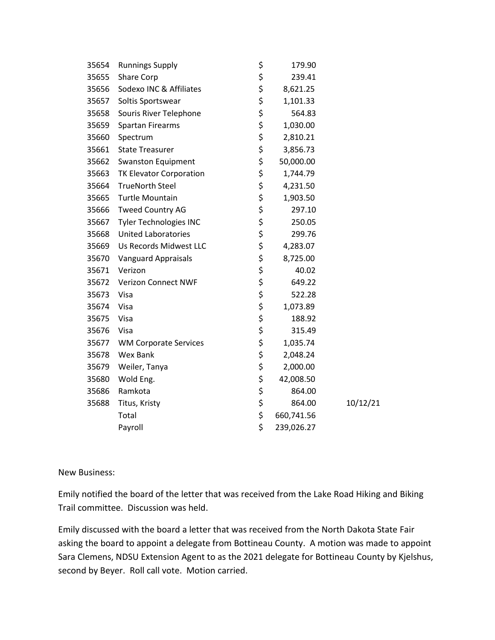| 35654 | <b>Runnings Supply</b>        | \$<br>179.90     |          |
|-------|-------------------------------|------------------|----------|
| 35655 | Share Corp                    | \$<br>239.41     |          |
| 35656 | Sodexo INC & Affiliates       | \$<br>8,621.25   |          |
| 35657 | Soltis Sportswear             | \$<br>1,101.33   |          |
| 35658 | Souris River Telephone        | \$<br>564.83     |          |
| 35659 | <b>Spartan Firearms</b>       | \$<br>1,030.00   |          |
| 35660 | Spectrum                      | \$<br>2,810.21   |          |
| 35661 | <b>State Treasurer</b>        | \$<br>3,856.73   |          |
| 35662 | <b>Swanston Equipment</b>     | \$<br>50,000.00  |          |
| 35663 | TK Elevator Corporation       | \$<br>1,744.79   |          |
| 35664 | <b>TrueNorth Steel</b>        | \$<br>4,231.50   |          |
| 35665 | <b>Turtle Mountain</b>        | \$<br>1,903.50   |          |
| 35666 | <b>Tweed Country AG</b>       | \$<br>297.10     |          |
| 35667 | <b>Tyler Technologies INC</b> | \$<br>250.05     |          |
| 35668 | <b>United Laboratories</b>    | \$<br>299.76     |          |
| 35669 | Us Records Midwest LLC        | \$<br>4,283.07   |          |
| 35670 | <b>Vanguard Appraisals</b>    | \$<br>8,725.00   |          |
| 35671 | Verizon                       | \$<br>40.02      |          |
| 35672 | <b>Verizon Connect NWF</b>    | \$<br>649.22     |          |
| 35673 | Visa                          | \$<br>522.28     |          |
| 35674 | Visa                          | \$<br>1,073.89   |          |
| 35675 | Visa                          | \$<br>188.92     |          |
| 35676 | Visa                          | \$<br>315.49     |          |
| 35677 | <b>WM Corporate Services</b>  | \$<br>1,035.74   |          |
| 35678 | Wex Bank                      | \$<br>2,048.24   |          |
| 35679 | Weiler, Tanya                 | \$<br>2,000.00   |          |
| 35680 | Wold Eng.                     | \$<br>42,008.50  |          |
| 35686 | Ramkota                       | \$<br>864.00     |          |
| 35688 | Titus, Kristy                 | \$<br>864.00     | 10/12/21 |
|       | Total                         | \$<br>660,741.56 |          |
|       | Payroll                       | \$<br>239,026.27 |          |

## New Business:

Emily notified the board of the letter that was received from the Lake Road Hiking and Biking Trail committee. Discussion was held.

Emily discussed with the board a letter that was received from the North Dakota State Fair asking the board to appoint a delegate from Bottineau County. A motion was made to appoint Sara Clemens, NDSU Extension Agent to as the 2021 delegate for Bottineau County by Kjelshus, second by Beyer. Roll call vote. Motion carried.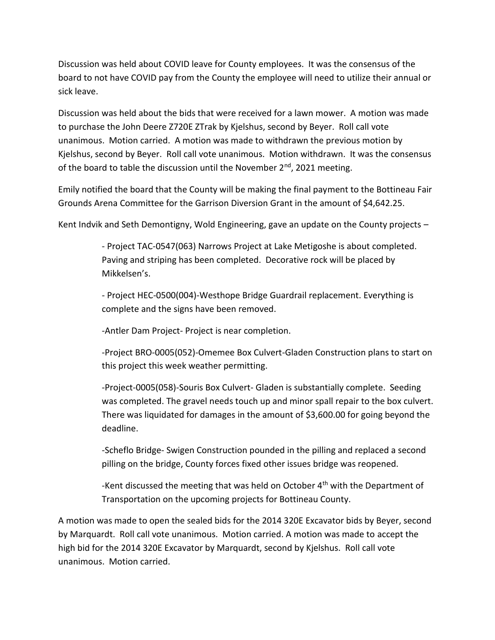Discussion was held about COVID leave for County employees. It was the consensus of the board to not have COVID pay from the County the employee will need to utilize their annual or sick leave.

Discussion was held about the bids that were received for a lawn mower. A motion was made to purchase the John Deere Z720E ZTrak by Kjelshus, second by Beyer. Roll call vote unanimous. Motion carried. A motion was made to withdrawn the previous motion by Kjelshus, second by Beyer. Roll call vote unanimous. Motion withdrawn. It was the consensus of the board to table the discussion until the November  $2^{nd}$ , 2021 meeting.

Emily notified the board that the County will be making the final payment to the Bottineau Fair Grounds Arena Committee for the Garrison Diversion Grant in the amount of \$4,642.25.

Kent Indvik and Seth Demontigny, Wold Engineering, gave an update on the County projects –

- Project TAC-0547(063) Narrows Project at Lake Metigoshe is about completed. Paving and striping has been completed. Decorative rock will be placed by Mikkelsen's.

*-* Project HEC-0500(004)-Westhope Bridge Guardrail replacement. Everything is complete and the signs have been removed.

*-*Antler Dam Project- Project is near completion.

-Project BRO-0005(052)-Omemee Box Culvert-Gladen Construction plans to start on this project this week weather permitting.

-Project-0005(058)-Souris Box Culvert- Gladen is substantially complete. Seeding was completed. The gravel needs touch up and minor spall repair to the box culvert. There was liquidated for damages in the amount of \$3,600.00 for going beyond the deadline.

-Scheflo Bridge- Swigen Construction pounded in the pilling and replaced a second pilling on the bridge, County forces fixed other issues bridge was reopened.

-Kent discussed the meeting that was held on October 4<sup>th</sup> with the Department of Transportation on the upcoming projects for Bottineau County.

A motion was made to open the sealed bids for the 2014 320E Excavator bids by Beyer, second by Marquardt. Roll call vote unanimous. Motion carried. A motion was made to accept the high bid for the 2014 320E Excavator by Marquardt, second by Kjelshus. Roll call vote unanimous. Motion carried.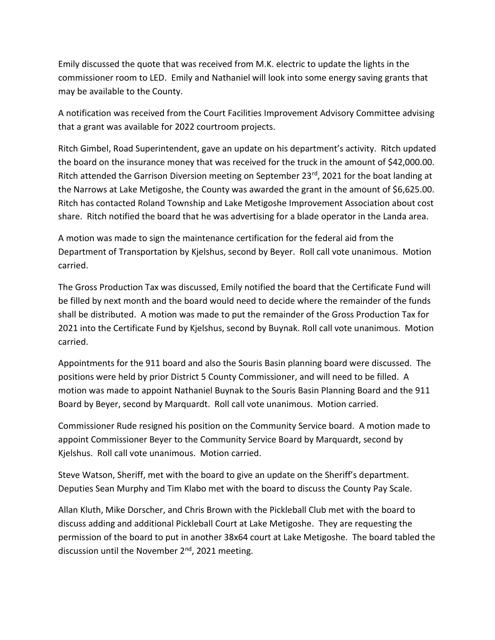Emily discussed the quote that was received from M.K. electric to update the lights in the commissioner room to LED. Emily and Nathaniel will look into some energy saving grants that may be available to the County.

A notification was received from the Court Facilities Improvement Advisory Committee advising that a grant was available for 2022 courtroom projects.

Ritch Gimbel, Road Superintendent, gave an update on his department's activity. Ritch updated the board on the insurance money that was received for the truck in the amount of \$42,000.00. Ritch attended the Garrison Diversion meeting on September 23rd, 2021 for the boat landing at the Narrows at Lake Metigoshe, the County was awarded the grant in the amount of \$6,625.00. Ritch has contacted Roland Township and Lake Metigoshe Improvement Association about cost share. Ritch notified the board that he was advertising for a blade operator in the Landa area.

A motion was made to sign the maintenance certification for the federal aid from the Department of Transportation by Kjelshus, second by Beyer. Roll call vote unanimous. Motion carried.

The Gross Production Tax was discussed, Emily notified the board that the Certificate Fund will be filled by next month and the board would need to decide where the remainder of the funds shall be distributed. A motion was made to put the remainder of the Gross Production Tax for 2021 into the Certificate Fund by Kjelshus, second by Buynak. Roll call vote unanimous. Motion carried.

Appointments for the 911 board and also the Souris Basin planning board were discussed. The positions were held by prior District 5 County Commissioner, and will need to be filled. A motion was made to appoint Nathaniel Buynak to the Souris Basin Planning Board and the 911 Board by Beyer, second by Marquardt. Roll call vote unanimous. Motion carried.

Commissioner Rude resigned his position on the Community Service board. A motion made to appoint Commissioner Beyer to the Community Service Board by Marquardt, second by Kjelshus. Roll call vote unanimous. Motion carried.

Steve Watson, Sheriff, met with the board to give an update on the Sheriff's department. Deputies Sean Murphy and Tim Klabo met with the board to discuss the County Pay Scale.

Allan Kluth, Mike Dorscher, and Chris Brown with the Pickleball Club met with the board to discuss adding and additional Pickleball Court at Lake Metigoshe. They are requesting the permission of the board to put in another 38x64 court at Lake Metigoshe. The board tabled the discussion until the November  $2<sup>nd</sup>$ , 2021 meeting.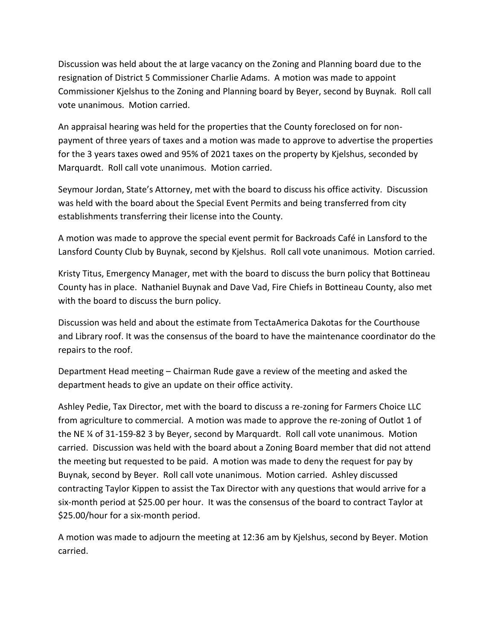Discussion was held about the at large vacancy on the Zoning and Planning board due to the resignation of District 5 Commissioner Charlie Adams. A motion was made to appoint Commissioner Kjelshus to the Zoning and Planning board by Beyer, second by Buynak. Roll call vote unanimous. Motion carried.

An appraisal hearing was held for the properties that the County foreclosed on for nonpayment of three years of taxes and a motion was made to approve to advertise the properties for the 3 years taxes owed and 95% of 2021 taxes on the property by Kjelshus, seconded by Marquardt. Roll call vote unanimous. Motion carried.

Seymour Jordan, State's Attorney, met with the board to discuss his office activity. Discussion was held with the board about the Special Event Permits and being transferred from city establishments transferring their license into the County.

A motion was made to approve the special event permit for Backroads Café in Lansford to the Lansford County Club by Buynak, second by Kjelshus. Roll call vote unanimous. Motion carried.

Kristy Titus, Emergency Manager, met with the board to discuss the burn policy that Bottineau County has in place. Nathaniel Buynak and Dave Vad, Fire Chiefs in Bottineau County, also met with the board to discuss the burn policy.

Discussion was held and about the estimate from TectaAmerica Dakotas for the Courthouse and Library roof. It was the consensus of the board to have the maintenance coordinator do the repairs to the roof.

Department Head meeting – Chairman Rude gave a review of the meeting and asked the department heads to give an update on their office activity.

Ashley Pedie, Tax Director, met with the board to discuss a re-zoning for Farmers Choice LLC from agriculture to commercial. A motion was made to approve the re-zoning of Outlot 1 of the NE ¼ of 31-159-82 3 by Beyer, second by Marquardt. Roll call vote unanimous. Motion carried. Discussion was held with the board about a Zoning Board member that did not attend the meeting but requested to be paid. A motion was made to deny the request for pay by Buynak, second by Beyer. Roll call vote unanimous. Motion carried. Ashley discussed contracting Taylor Kippen to assist the Tax Director with any questions that would arrive for a six-month period at \$25.00 per hour. It was the consensus of the board to contract Taylor at \$25.00/hour for a six-month period.

A motion was made to adjourn the meeting at 12:36 am by Kjelshus, second by Beyer. Motion carried.